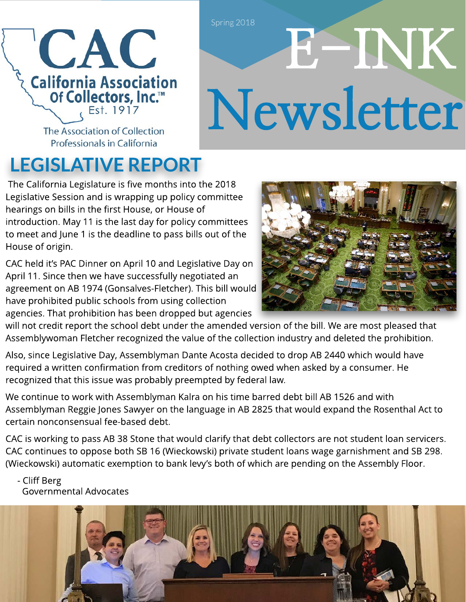

# E- INK Newsletter

The Association of Collection Professionals in California

## LEGISLATIVE REPORT

The California Legislature is five months into the 2018 Legislative Session and is wrapping up policy committee hearings on bills in the first House, or House of introduction. May 11 is the last day for policy committees to meet and June 1 is the deadline to pass bills out of the House of origin.

CAC held it?s PAC Dinner on April 10 and Legislative Day on April 11. Since then we have successfully negotiated an agreement on AB 1974 (Gonsalves-Fletcher). This bill would have prohibited public schools from using collection agencies. That prohibition has been dropped but agencies



will not credit report the school debt under the amended version of the bill. We are most pleased that Assemblywoman Fletcher recognized the value of the collection industry and deleted the prohibition.

Also, since Legislative Day, Assemblyman Dante Acosta decided to drop AB 2440 which would have required a written confirmation from creditors of nothing owed when asked by a consumer. He recognized that this issue was probably preempted by federal law.

We continue to work with Assemblyman Kalra on his time barred debt bill AB 1526 and with Assemblyman Reggie Jones Sawyer on the language in AB 2825 that would expand the Rosenthal Act to certain nonconsensual fee-based debt.

CAC is working to pass AB 38 Stone that would clarify that debt collectors are not student loan servicers. CAC continues to oppose both SB 16 (Wieckowski) private student loans wage garnishment and SB 298. (Wieckowski) automatic exemption to bank levy?s both of which are pending on the Assembly Floor.

 - Cliff Berg Governmental Advocates

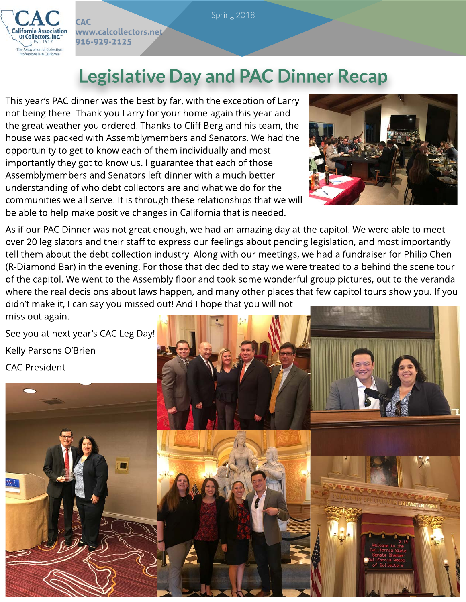

**CAC** 

www.calcollectors.net

916-929-2125

## Legislative Day and PAC Dinner Recap

This year's PAC dinner was the best by far, with the exception of Larry not being there. Thank you Larry for your home again this year and the great weather you ordered. Thanks to Cliff Berg and his team, the house was packed with Assemblymembers and Senators. We had the opportunity to get to know each of them individually and most importantly they got to know us. I guarantee that each of those Assemblymembers and Senators left dinner with a much better understanding of who debt collectors are and what we do for the communities we all serve. It is through these relationships that we will be able to help make positive changes in California that is needed.



As if our PAC Dinner was not great enough, we had an amazing day at the capitol. We were able to meet over 20 legislators and their staff to express our feelings about pending legislation, and most importantly tell them about the debt collection industry. Along with our meetings, we had a fundraiser for Philip Chen (R-Diamond Bar) in the evening. For those that decided to stay we were treated to a behind the scene tour of the capitol. We went to the Assembly floor and took some wonderful group pictures, out to the veranda where the real decisions about laws happen, and many other places that few capitol tours show you. If you didn?t make it, I can say you missed out! And I hope that you will not miss out again.